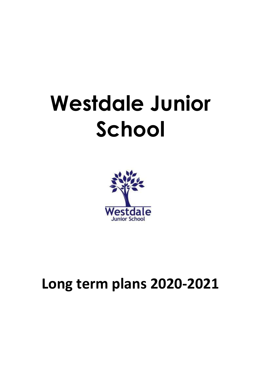## **Westdale Junior School**



## **Long term plans 2020-2021**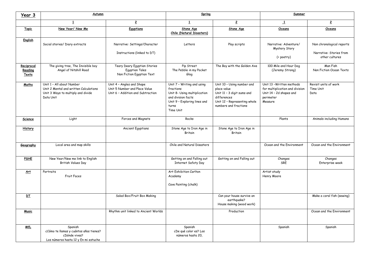| Year 3                         | Autumn                                                                                                                 |                                                                                                 | Spring                                                                                                                                              |                                                                                                                                                 | Summer                                                                                                          |                                                                        |
|--------------------------------|------------------------------------------------------------------------------------------------------------------------|-------------------------------------------------------------------------------------------------|-----------------------------------------------------------------------------------------------------------------------------------------------------|-------------------------------------------------------------------------------------------------------------------------------------------------|-----------------------------------------------------------------------------------------------------------------|------------------------------------------------------------------------|
|                                | $\overline{1}$                                                                                                         | $\overline{2}$                                                                                  | $\overline{1}$                                                                                                                                      | $\overline{2}$                                                                                                                                  | $\overline{\mathbf{1}}$                                                                                         | $\overline{2}$                                                         |
| <b>Topic</b>                   | New Year/ New Me                                                                                                       | <b>Egyptians</b>                                                                                | Stone Age<br>Chile (Natural Disasters)                                                                                                              | <b>Stone Age</b>                                                                                                                                | Oceans                                                                                                          | Oceans                                                                 |
| English                        | Social stories/ Diary extracts                                                                                         | Narrative: Settings/Character<br>Instructions (linked to DT)                                    | Letters                                                                                                                                             | Play scripts                                                                                                                                    | Narrative: Adventure/<br>Mystery Story<br>(+ poetry)                                                            | Non chronological reports<br>Narrative: Stories from<br>other cultures |
| Reciprocal<br>Reading<br>Texts | The giving tree, The Invisible boy<br>Angel of Nitshill Road                                                           | Teary Deary Egyptian Stories<br><b>Egyptian Tales</b><br>Non Fiction Egyptian Text              | Pip Street<br>The Pebble in my Pocket<br>Glog                                                                                                       | The Boy with the Golden Axe                                                                                                                     | 100 Mile and Hour Dog<br>(Jeremy Strong)                                                                        | Man Fish<br>Non Fiction Ocean Texts                                    |
| Maths                          | Unit 1 - All about Number<br>Unit 2 Mental and written Calculations<br>Unit 3 Ways to multiply and divide<br>Data Unit | Unit 4 - Angles and Shape<br>Unit 5 Number and Place Value<br>Unit 6 - Addition and Subtraction | Unit 7 - Writing and using<br>fractions<br>Unit 8- Using multiplication<br>and division facts<br>Unit 9 - Exploring lines and<br>turns<br>Time Unit | Unit 10 - Using number and<br>place value<br>Unit 11 - 3 digit sums and<br>differences<br>Unit 12 - Representing whole<br>numbers and fractions | Unit 13 - Written methods<br>for multiplication and division<br>Unit 14 - 2d shapes and<br>perimeter<br>Measure | Revisit units of work<br>Time Unit<br>Data                             |
| Science                        | Light                                                                                                                  | Forces and Magnets                                                                              | Rocks                                                                                                                                               |                                                                                                                                                 | Plants                                                                                                          | Animals including Humans                                               |
| <b>History</b>                 |                                                                                                                        | Ancient Egyptians                                                                               | Stone Age to Iron Age in<br>Britain                                                                                                                 | Stone Age to Iron Age in<br>Britain                                                                                                             |                                                                                                                 |                                                                        |
| Geography                      | Local area and map skills                                                                                              |                                                                                                 | Chile and Natural Disasters                                                                                                                         |                                                                                                                                                 | Ocean and the Environment                                                                                       | Ocean and the Environment                                              |
| <b>PSHE</b>                    | New Year/New me link to English<br>British Values Day                                                                  |                                                                                                 | Getting on and Falling out<br>Internet Safety Day                                                                                                   | Getting on and Falling out                                                                                                                      | Changes<br>SRE                                                                                                  | Changes<br>Enterprise week                                             |
| Art                            | Portraits<br><b>Fruit Faces</b>                                                                                        |                                                                                                 | Art Exhibition Carlton<br>Academy<br>Cave Painting (chalk)                                                                                          |                                                                                                                                                 | Artist study<br>Henry Moore                                                                                     |                                                                        |
| <u>DT</u>                      |                                                                                                                        | Salad Box/Fruit Box Making                                                                      |                                                                                                                                                     | Can your house survive an<br>earthguake?<br>House making (wood work)                                                                            |                                                                                                                 | Make a coral fish (sewing)                                             |
| <b>Music</b>                   |                                                                                                                        | Rhythm unit linked to Ancient Worlds                                                            |                                                                                                                                                     | Production                                                                                                                                      |                                                                                                                 | Ocean and the Environment                                              |
| <b>MfL</b>                     | Spanish<br>¿Cómo te llamas y cuántos años tienes?<br>¿Dónde vives?<br>Los números hasta 12 y En mi estuche             |                                                                                                 | Spanish<br>¿De qué color es? Los<br>números hasta 20,                                                                                               |                                                                                                                                                 | Spanish                                                                                                         | Spanish                                                                |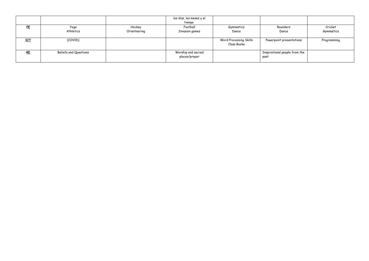|            |                       |              | los dias, los meses y el |                        |                               |             |
|------------|-----------------------|--------------|--------------------------|------------------------|-------------------------------|-------------|
|            |                       |              | tiempo                   |                        |                               |             |
| PE         | Yoga                  | Hockey       | Football                 | Gymnastics             | Rounders                      | Cricket     |
|            | Athletics             | Orienteering | Invasion games           | Dance                  | Dance                         | Gymnastics  |
|            |                       |              |                          |                        |                               |             |
| <b>ICT</b> | (COVID)               |              |                          | Word Processing Skills | Powerpoint presentations      | Programming |
|            |                       |              |                          | Class Books            |                               |             |
|            |                       |              |                          |                        |                               |             |
| RE         | Beliefs and Questions |              | Worship and sacred       |                        | Inspirational people from the |             |
|            |                       |              | places/prayer            |                        | past                          |             |
|            |                       |              |                          |                        |                               |             |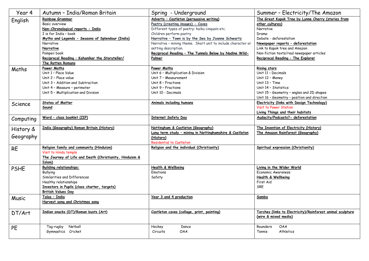| Year 4      | Autumn - India/Roman Britain                                         | Spring - Underground                                         | Summer - Electricity/The Amazon                                                           |
|-------------|----------------------------------------------------------------------|--------------------------------------------------------------|-------------------------------------------------------------------------------------------|
| English     | <b>Rainbow Grammar</b>                                               | Adverts - Castleton (persuasive writing)                     | The Great Kapok Tree by Lynne Cherry (stories from                                        |
|             | Basic overview                                                       | Poetry (creating images) - Caves                             | other cultures)                                                                           |
|             | Non-Chronological reports - India                                    | Different types of poetry: haiku cinquain etc.               | Narrative                                                                                 |
|             | I is for India - book                                                | Children perform poetry                                      | Drama                                                                                     |
|             | Myths and Legends - Seasons of Splendour (India)                     | Narrative - Town is by the Sea by Joanne Schwartz            | Debate - deforestation                                                                    |
|             | Narrative                                                            | Narrative - mining theme. Short unit to include character or | Newspaper reports - deforestation                                                         |
|             | Narrative                                                            | setting description.                                         | Link to Kapok tree and Amazon                                                             |
|             | Pompeii book                                                         | Reciprocal Reading - The Tunnels Below by Nadine Wild-       | Non-fiction texts/real newspaper articles                                                 |
|             | Reciprocal Reading - Kahanikar the Storyteller/<br>The Rotten Romans | Palmer                                                       | Reciprocal Reading - The Explorer                                                         |
|             |                                                                      |                                                              |                                                                                           |
| Maths       | Power Maths<br>Unit 1 - Place Value                                  | Power Maths                                                  | <b>Rising stars</b>                                                                       |
|             |                                                                      | Unit 6 - Multiplication & Division                           | Unit 11 - Decimals                                                                        |
|             | Unit 2 - Place value<br>Unit 3 - Addition and Subtraction            | Unit 7 - Measurement<br>Unit 8 - Fractions                   | Unit 12 - Money<br>Unit 13 - Time                                                         |
|             | Unit 4 - Measure - perimeter                                         | Unit 9 - Fractions                                           | Unit 14 - Statistics                                                                      |
|             |                                                                      | Unit 10 - Decimals                                           |                                                                                           |
|             | Unit 5 - Multiplication and Division                                 |                                                              | Unit 15 - Geometry - angles and 2D shapes                                                 |
|             | States of Matter                                                     | <b>Animals including humans</b>                              | Unit 16 - Geometry - position and direction<br>Electricity (links with Design Technology) |
| Science     | Sound                                                                |                                                              | <b>Visit to Power Station</b>                                                             |
|             |                                                                      |                                                              | Living Things and their habitats                                                          |
|             | Word - class booklet (IIP)                                           | <b>Internet Safety Day</b>                                   | Audacity/Podcasts?- deforestation                                                         |
| Computing   |                                                                      |                                                              |                                                                                           |
| History &   | India (Geography) Roman Britain (History)                            | Nottingham & Castleton (Geography)                           | The Invention of Electricity (History)                                                    |
|             |                                                                      | Long term study - mining in Nottinghamshire & Castleton      | The Amazon Rainforest (Geography)                                                         |
| Geography   |                                                                      | (History)                                                    |                                                                                           |
|             |                                                                      | Residential to Castleton                                     |                                                                                           |
| <b>RE</b>   | Religion family and community (Hinduism)                             | Religion and the individual (Christianity)                   | Spiritual expression (Christianity)                                                       |
|             | Visit to Hindu temple                                                |                                                              |                                                                                           |
|             | The Journey of Life and Death (Christianity, Hinduism &              |                                                              |                                                                                           |
|             | Islam)                                                               |                                                              |                                                                                           |
| <b>PSHE</b> | <b>Building relationships:</b>                                       | <b>Health &amp; Wellbeing</b>                                | Living in the Wider World                                                                 |
|             | <b>Bullying</b>                                                      | Emotions                                                     | Economic Awareness                                                                        |
|             | Similarities and Differences                                         | Safety                                                       | Health & Wellbeing                                                                        |
|             | Healthy relationships                                                |                                                              | First Aid<br><b>SRF</b>                                                                   |
|             | Investors in Pupils (class charter, targets)                         |                                                              |                                                                                           |
|             | <b>British Values Day</b>                                            |                                                              |                                                                                           |
| Music       | Talas - India                                                        | <b>Year 3 and 4 production</b>                               | Samba                                                                                     |
|             | Harvest song and Christmas song                                      |                                                              |                                                                                           |
| DT/Art      | Indian snacks (DT)/Roman busts (Art)                                 | Castleton caves (collage, print, painting)                   | Torches (links to Electricity)/Rainforest animal sculpture                                |
|             |                                                                      |                                                              | (wire & mixed media)                                                                      |
|             |                                                                      |                                                              |                                                                                           |
| PE          | Netball<br>Tag-rugby                                                 | Hockey<br>Dance                                              | Rounders<br><b>OAA</b>                                                                    |
|             | Gymnastics Cricket                                                   | Circuits<br><b>OAA</b>                                       | Tennis<br>Athletics                                                                       |
|             |                                                                      |                                                              |                                                                                           |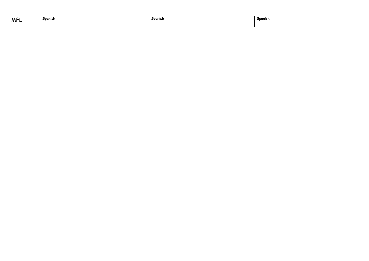| <b>MFL</b> | Spanish | Spanish | Spanish |
|------------|---------|---------|---------|
|            |         |         |         |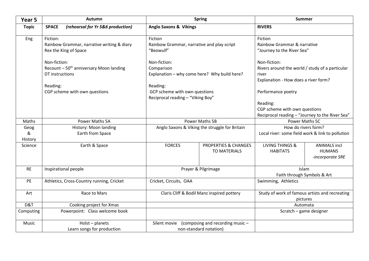| Year 5               | Autumn                                                                                 |                                                                                | <b>Spring</b>                                          | <b>Summer</b>                                                                                                      |                                                          |  |
|----------------------|----------------------------------------------------------------------------------------|--------------------------------------------------------------------------------|--------------------------------------------------------|--------------------------------------------------------------------------------------------------------------------|----------------------------------------------------------|--|
| <b>Topic</b>         | <b>SPACE</b><br>(rehearsal for Yr 5&6 production)                                      | <b>Anglo Saxons &amp; Vikings</b>                                              |                                                        | <b>RIVERS</b>                                                                                                      |                                                          |  |
| Eng                  | Fiction:<br>Rainbow Grammar, narrative writing & diary<br>Rex the King of Space        | Fiction<br>Rainbow Grammar, narrative and play script<br>"Beowulf"             |                                                        | Fiction<br>Rainbow Grammar & narrative<br>"Journey to the River Sea"                                               |                                                          |  |
|                      | Non-fiction:<br>Recount - 50 <sup>th</sup> anniversary Moon landing<br>DT instructions | Non-fiction:<br>Comparison<br>Explanation - why come here? Why build here?     |                                                        | Non-fiction:<br>Rivers around the world / study of a particular<br>river<br>Explanation - How does a river form?   |                                                          |  |
|                      | Reading:<br>CGP scheme with own questions                                              | Reading:<br>GCP scheme with own questions<br>Reciprocal reading - "Viking Boy" |                                                        | Performance poetry<br>Reading:<br>CGP scheme with own questions<br>Reciprocal reading - "Journey to the River Sea" |                                                          |  |
| Maths                | Power Maths 5A                                                                         |                                                                                | <b>Power Maths 5B</b>                                  |                                                                                                                    | Power Maths 5C                                           |  |
| Geog<br>&<br>History | History: Moon landing<br>Earth from Space                                              | Anglo Saxons & Viking the struggle for Britain                                 |                                                        | How do rivers form?<br>Local river: some field work & link to pollution                                            |                                                          |  |
| Science              | Earth & Space                                                                          | <b>FORCES</b>                                                                  | <b>PROPERTIES &amp; CHANGES</b><br><b>TO MATERIALS</b> | <b>LIVING THINGS &amp;</b><br><b>HABITATS</b>                                                                      | <b>ANIMALS incl</b><br><b>HUMANS</b><br>-incorporate SRE |  |
| <b>RE</b>            | Inspirational people                                                                   | Prayer & Pilgrimage                                                            |                                                        | Islam<br>Faith through Symbols & Art                                                                               |                                                          |  |
| PE                   | Athletics, Cross-Country running, Cricket                                              | Cricket, Circuits, OAA                                                         |                                                        | Swimming, Athletics                                                                                                |                                                          |  |
| Art                  | Race to Mars                                                                           | Claris Cliff & Bodil Manz inspired pottery                                     |                                                        | Study of work of famous artists and recreating<br>pictures                                                         |                                                          |  |
| D&T                  | Cooking project for Xmas                                                               |                                                                                |                                                        | Automata                                                                                                           |                                                          |  |
| Computing            | Powerpoint: Class welcome book                                                         |                                                                                |                                                        | Scratch - game designer                                                                                            |                                                          |  |
| Music                | $Holst$ – planets<br>Learn songs for production                                        | (composing and recording music -<br>Silent movie<br>non-standard notation)     |                                                        |                                                                                                                    |                                                          |  |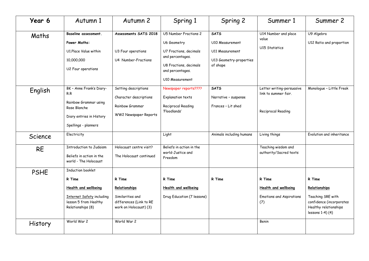| Year 6         | Autumn 1                                                                                                                              | Autumn 2                                                                                         | Spring 1                                                                                                                                                   | Spring 2                                                                                        | Summer 1                                                                 | Summer 2                                                                                                              |
|----------------|---------------------------------------------------------------------------------------------------------------------------------------|--------------------------------------------------------------------------------------------------|------------------------------------------------------------------------------------------------------------------------------------------------------------|-------------------------------------------------------------------------------------------------|--------------------------------------------------------------------------|-----------------------------------------------------------------------------------------------------------------------|
| Maths          | Baseline assessment.<br>Power Maths:<br>U1.Place Value within<br>10,000,000<br>U2 Four operations                                     | Assessments SATS 2018<br>U3 Four operations<br>U4 Number-Fractions                               | U5 Number Fractions 2<br>U6 Geometry<br>U7 Fractions, decimals<br>and percentages.<br>U8 Fractions, decimals<br>and percentages.<br><b>U10 Measurement</b> | <b>SATS</b><br>U10 Measurement<br><b>U11 Measurement</b><br>U13 Geometry-properties<br>of shape | U14 Number and place<br>value<br><b>U15 Statistics</b>                   | U9 Algebra<br>U12 Ratio and proportion                                                                                |
| English        | BK - Anne Frank's Diary-<br>R.R<br>Rainbow Grammar using<br>Rose Blanche<br>Diary entries in History<br>Spellings - planners          | Setting descriptions<br>Character descriptions<br>Rainbow Grammar<br>WW2 Newspaper Reports       | Newspaper reports????<br>Explanation texts<br>Reciprocal Reading<br>'Floodlands'                                                                           | <b>SATS</b><br>Narrative - suspense<br>Frances - Lit shed                                       | Letter writing-persuasive<br>link to summer fair.<br>Reciprocal Reading  | Monologue - Little Freak                                                                                              |
| Science        | Electricity                                                                                                                           |                                                                                                  | Light                                                                                                                                                      | Animals including humans                                                                        | Living things                                                            | Evolution and inheritance                                                                                             |
| <b>RE</b>      | <b>Introduction to Judaism</b><br>Beliefs in action in the<br>world - The Holocaust                                                   | Holocaust centre visit?<br>The Holocaust continued                                               | Beliefs in action in the<br>world-Justice and<br>Freedom                                                                                                   |                                                                                                 | Teaching wisdom and<br>authority/Sacred texts                            |                                                                                                                       |
| <b>PSHE</b>    | <b>Induction booklet</b><br>R Time<br>Health and wellbeing<br>Internet Safety including<br>lesson 5 from Healthy<br>Relationships (8) | R Time<br>Relationships<br>Similarities and<br>differences (Link to RE<br>work on Holocaust) (3) | R Time<br><b>Health and wellbeing</b><br>Drug Education (7 lessons)                                                                                        | R Time                                                                                          | R Time<br>Health and wellbeing<br><b>Emotions and Aspirations</b><br>(7) | R Time<br>Relationships<br>Teaching SRE with<br>confidence (incorporates<br>Healthy relationships<br>lessons 1-4) (4) |
| <b>History</b> | World War 2                                                                                                                           | World War 2                                                                                      |                                                                                                                                                            |                                                                                                 | Benin                                                                    |                                                                                                                       |